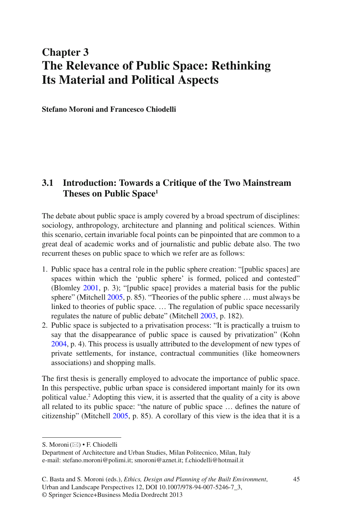# <span id="page-0-0"></span> **Chapter 3 The Relevance of Public Space: Rethinking Its Material and Political Aspects**

 **Stefano Moroni and Francesco Chiodelli** 

## **3.1 Introduction: Towards a Critique of the Two Mainstream Theses on Public Space**<sup>1</sup>

 The debate about public space is amply covered by a broad spectrum of disciplines: sociology, anthropology, architecture and planning and political sciences. Within this scenario, certain invariable focal points can be pinpointed that are common to a great deal of academic works and of journalistic and public debate also. The two recurrent theses on public space to which we refer are as follows:

- 1. Public space has a central role in the public sphere creation: "[public spaces] are spaces within which the 'public sphere' is formed, policed and contested" (Blomley  $2001$ , p. 3); "[public space] provides a material basis for the public sphere" (Mitchell [2005](#page-10-0), p. 85). "Theories of the public sphere ... must always be linked to theories of public space. … The regulation of public space necessarily regulates the nature of public debate" (Mitchell 2003, p. 182).
- 2. Public space is subjected to a privatisation process: "It is practically a truism to say that the disappearance of public space is caused by privatization" (Kohn [2004 ,](#page-9-0) p. 4). This process is usually attributed to the development of new types of private settlements, for instance, contractual communities (like homeowners associations) and shopping malls.

The first thesis is generally employed to advocate the importance of public space. In this perspective, public urban space is considered important mainly for its own political value.<sup>2</sup> Adopting this view, it is asserted that the quality of a city is above all related to its public space: "the nature of public space ... defines the nature of citizenship" (Mitchell  $2005$ , p. 85). A corollary of this view is the idea that it is a

S. Moroni (\*) • F. Chiodelli

Department of Architecture and Urban Studies, Milan Politecnico, Milan, Italy e-mail: stefano.moroni@polimi.it; smoroni@aznet.it; f.chiodelli@hotmail.it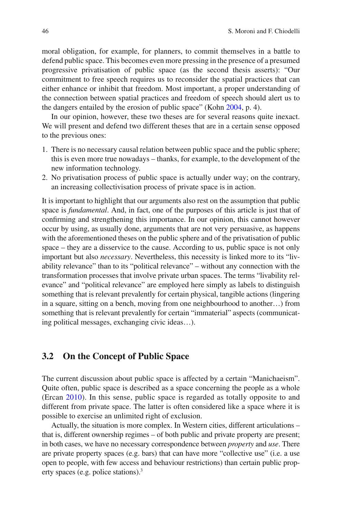<span id="page-1-0"></span>moral obligation, for example, for planners, to commit themselves in a battle to defend public space. This becomes even more pressing in the presence of a presumed progressive privatisation of public space (as the second thesis asserts): "Our commitment to free speech requires us to reconsider the spatial practices that can either enhance or inhibit that freedom. Most important, a proper understanding of the connection between spatial practices and freedom of speech should alert us to the dangers entailed by the erosion of public space" (Kohn 2004, p. 4).

 In our opinion, however, these two theses are for several reasons quite inexact. We will present and defend two different theses that are in a certain sense opposed to the previous ones:

- 1. There is no necessary causal relation between public space and the public sphere; this is even more true nowadays – thanks, for example, to the development of the new information technology.
- 2. No privatisation process of public space is actually under way; on the contrary, an increasing collectivisation process of private space is in action.

 It is important to highlight that our arguments also rest on the assumption that public space is *fundamental* . And, in fact, one of the purposes of this article is just that of confirming and strengthening this importance. In our opinion, this cannot however occur by using, as usually done, arguments that are not very persuasive, as happens with the aforementioned theses on the public sphere and of the privatisation of public space – they are a disservice to the cause. According to us, public space is not only important but also *necessary* . Nevertheless, this necessity is linked more to its "livability relevance" than to its "political relevance" – without any connection with the transformation processes that involve private urban spaces. The terms "livability relevance" and "political relevance" are employed here simply as labels to distinguish something that is relevant prevalently for certain physical, tangible actions (lingering in a square, sitting on a bench, moving from one neighbourhood to another…) from something that is relevant prevalently for certain "immaterial" aspects (communicating political messages, exchanging civic ideas…).

#### **3.2 On the Concept of Public Space**

 The current discussion about public space is affected by a certain "Manichaeism". Quite often, public space is described as a space concerning the people as a whole (Ercan [2010](#page-9-0)). In this sense, public space is regarded as totally opposite to and different from private space. The latter is often considered like a space where it is possible to exercise an unlimited right of exclusion.

 Actually, the situation is more complex. In Western cities, different articulations – that is, different ownership regimes – of both public and private property are present; in both cases, we have no necessary correspondence between *property* and *use* . There are private property spaces (e.g. bars) that can have more "collective use" (i.e. a use open to people, with few access and behaviour restrictions) than certain public property spaces (e.g. police stations). 3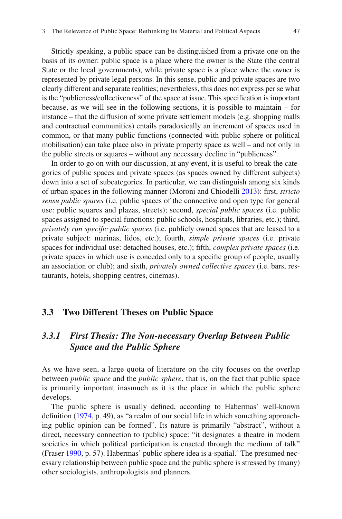<span id="page-2-0"></span> Strictly speaking, a public space can be distinguished from a private one on the basis of its owner: public space is a place where the owner is the State (the central State or the local governments), while private space is a place where the owner is represented by private legal persons. In this sense, public and private spaces are two clearly different and separate realities; nevertheless, this does not express per se what is the "publicness/collectiveness" of the space at issue. This specification is important because, as we will see in the following sections, it is possible to maintain – for instance – that the diffusion of some private settlement models (e.g. shopping malls and contractual communities) entails paradoxically an increment of spaces used in common, or that many public functions (connected with public sphere or political mobilisation) can take place also in private property space as well – and not only in the public streets or squares – without any necessary decline in "publicness".

 In order to go on with our discussion, at any event, it is useful to break the categories of public spaces and private spaces (as spaces owned by different subjects) down into a set of subcategories. In particular, we can distinguish among six kinds of urban spaces in the following manner (Moroni and Chiodelli 2013): first, *stricto sensu public spaces* (i.e. public spaces of the connective and open type for general use: public squares and plazas, streets); second, *special public spaces* (i.e. public spaces assigned to special functions: public schools, hospitals, libraries, etc.); third, *privately run specific public spaces* (i.e. publicly owned spaces that are leased to a private subject: marinas, lidos, etc.); fourth, *simple private spaces* (i.e. private spaces for individual use: detached houses, etc.); fifth, *complex private spaces* (i.e. private spaces in which use is conceded only to a specific group of people, usually an association or club); and sixth, *privately owned collective spaces* (i.e. bars, restaurants, hotels, shopping centres, cinemas).

#### **3.3 Two Different Theses on Public Space**

## *3.3.1 First Thesis: The Non-necessary Overlap Between Public Space and the Public Sphere*

 As we have seen, a large quota of literature on the city focuses on the overlap between *public space* and the *public sphere* , that is, on the fact that public space is primarily important inasmuch as it is the place in which the public sphere develops.

The public sphere is usually defined, according to Habermas' well-known definition  $(1974, p. 49)$ , as "a realm of our social life in which something approaching public opinion can be formed". Its nature is primarily "abstract", without a direct, necessary connection to (public) space: "it designates a theatre in modern societies in which political participation is enacted through the medium of talk" (Fraser 1990, p. 57). Habermas' public sphere idea is a-spatial.<sup>4</sup> The presumed necessary relationship between public space and the public sphere is stressed by (many) other sociologists, anthropologists and planners.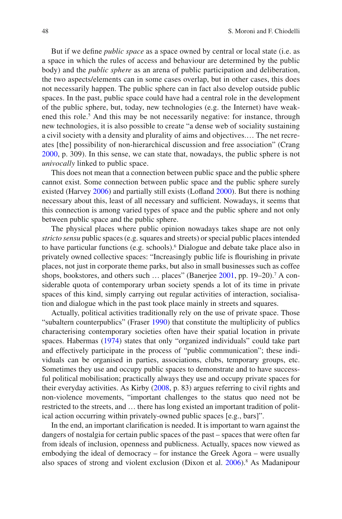But if we define *public space* as a space owned by central or local state (i.e. as a space in which the rules of access and behaviour are determined by the public body) and the *public sphere* as an arena of public participation and deliberation, the two aspects/elements can in some cases overlap, but in other cases, this does not necessarily happen. The public sphere can in fact also develop outside public spaces. In the past, public space could have had a central role in the development of the public sphere, but, today, new technologies (e.g. the Internet) have weakened this role.<sup>5</sup> And this may be not necessarily negative: for instance, through new technologies, it is also possible to create "a dense web of sociality sustaining a civil society with a density and plurality of aims and objectives.… The net recreates [the] possibility of non-hierarchical discussion and free association" (Crang [2000](#page-9-0) , p. 309). In this sense, we can state that, nowadays, the public sphere is not *univocally* linked to public space.

 This does not mean that a connection between public space and the public sphere cannot exist. Some connection between public space and the public sphere surely existed (Harvey  $2006$ ) and partially still exists (Lofland  $2000$ ). But there is nothing necessary about this, least of all necessary and sufficient. Nowadays, it seems that this connection is among varied types of space and the public sphere and not only between public space and the public sphere.

 The physical places where public opinion nowadays takes shape are not only *stricto sensu* public spaces (e.g. squares and streets) or special public places intended to have particular functions (e.g. schools).<sup>6</sup> Dialogue and debate take place also in privately owned collective spaces: "Increasingly public life is flourishing in private places, not just in corporate theme parks, but also in small businesses such as coffee shops, bookstores, and others such ... places" (Banerjee [2001](#page-9-0), pp. 19–20).<sup>7</sup> A considerable quota of contemporary urban society spends a lot of its time in private spaces of this kind, simply carrying out regular activities of interaction, socialisation and dialogue which in the past took place mainly in streets and squares.

 Actually, political activities traditionally rely on the use of private space. Those "subaltern counterpublics" (Fraser [1990](#page-9-0)) that constitute the multiplicity of publics characterising contemporary societies often have their spatial location in private spaces. Habermas (1974) states that only "organized individuals" could take part and effectively participate in the process of "public communication"; these individuals can be organised in parties, associations, clubs, temporary groups, etc. Sometimes they use and occupy public spaces to demonstrate and to have successful political mobilisation; practically always they use and occupy private spaces for their everyday activities. As Kirby (2008, p. 83) argues referring to civil rights and non-violence movements, "important challenges to the status quo need not be restricted to the streets, and … there has long existed an important tradition of political action occurring within privately-owned public spaces [e.g., bars]".

In the end, an important clarification is needed. It is important to warn against the dangers of nostalgia for certain public spaces of the past – spaces that were often far from ideals of inclusion, openness and publicness. Actually, spaces now viewed as embodying the ideal of democracy – for instance the Greek Agora – were usually also spaces of strong and violent exclusion (Dixon et al. 2006).<sup>8</sup> As Madanipour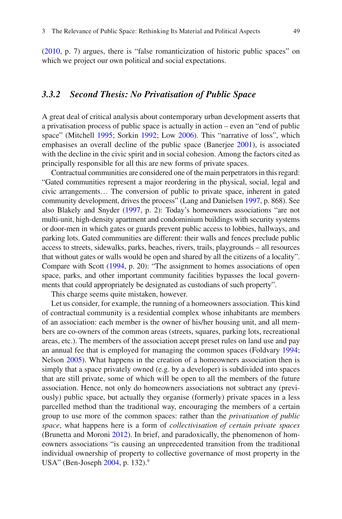$(2010, p. 7)$  argues, there is "false romanticization of historic public spaces" on which we project our own political and social expectations.

## *3.3.2 Second Thesis: No Privatisation of Public Space*

 A great deal of critical analysis about contemporary urban development asserts that a privatisation process of public space is actually in action – even an "end of public space" (Mitchell 1995; Sorkin [1992](#page-10-0); Low [2006](#page-9-0)). This "narrative of loss", which emphasises an overall decline of the public space (Banerjee  $2001$ ), is associated with the decline in the civic spirit and in social cohesion. Among the factors cited as principally responsible for all this are new forms of private spaces.

 Contractual communities are considered one of the main perpetrators in this regard: "Gated communities represent a major reordering in the physical, social, legal and civic arrangements… The conversion of public to private space, inherent in gated community development, drives the process" (Lang and Danielsen [1997](#page-9-0), p. 868). See also Blakely and Snyder ( [1997](#page-9-0) , p. 2): Today's homeowners associations "are not multi-unit, high-density apartment and condominium buildings with security systems or door-men in which gates or guards prevent public access to lobbies, hallways, and parking lots. Gated communities are different: their walls and fences preclude public access to streets, sidewalks, parks, beaches, rivers, trails, playgrounds – all resources that without gates or walls would be open and shared by all the citizens of a locality". Compare with Scott (1994, p. 20): "The assignment to homes associations of open space, parks, and other important community facilities bypasses the local governments that could appropriately be designated as custodians of such property".

This charge seems quite mistaken, however.

 Let us consider, for example, the running of a homeowners association. This kind of contractual community is a residential complex whose inhabitants are members of an association: each member is the owner of his/her housing unit, and all members are co-owners of the common areas (streets, squares, parking lots, recreational areas, etc.). The members of the association accept preset rules on land use and pay an annual fee that is employed for managing the common spaces (Foldvary 1994; Nelson [2005](#page-10-0)). What happens in the creation of a homeowners association then is simply that a space privately owned (e.g. by a developer) is subdivided into spaces that are still private, some of which will be open to all the members of the future association. Hence, not only do homeowners associations not subtract any (previously) public space, but actually they organise (formerly) private spaces in a less parcelled method than the traditional way, encouraging the members of a certain group to use more of the common spaces: rather than the *privatisation of public space* , what happens here is a form of *collectivisation of certain private spaces* (Brunetta and Moroni [2012](#page-9-0)). In brief, and paradoxically, the phenomenon of homeowners associations "is causing an unprecedented transition from the traditional individual ownership of property to collective governance of most property in the USA" (Ben-Joseph [2004](#page-9-0), p. 132).<sup>9</sup>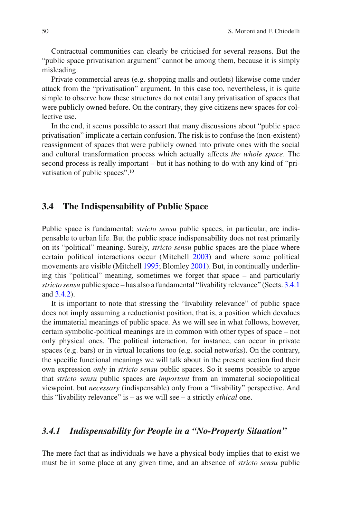<span id="page-5-0"></span> Contractual communities can clearly be criticised for several reasons. But the "public space privatisation argument" cannot be among them, because it is simply misleading.

 Private commercial areas (e.g. shopping malls and outlets) likewise come under attack from the "privatisation" argument. In this case too, nevertheless, it is quite simple to observe how these structures do not entail any privatisation of spaces that were publicly owned before. On the contrary, they give citizens new spaces for collective use.

 In the end, it seems possible to assert that many discussions about "public space privatisation" implicate a certain confusion. The risk is to confuse the (non-existent) reassignment of spaces that were publicly owned into private ones with the social and cultural transformation process which actually affects *the whole space* . The second process is really important – but it has nothing to do with any kind of "privatisation of public spaces".<sup>10</sup>

#### **3.4 The Indispensability of Public Space**

 Public space is fundamental; *stricto sensu* public spaces, in particular, are indispensable to urban life. But the public space indispensability does not rest primarily on its "political" meaning. Surely, *stricto sensu* public spaces are the place where certain political interactions occur (Mitchell [2003](#page-10-0) ) and where some political movements are visible (Mitchell [1995](#page-10-0); Blomley [2001](#page-9-0)). But, in continually underlining this "political" meaning, sometimes we forget that space – and particularly *stricto sensu* public space – has also a fundamental "livability relevance" (Sects. 3.4.1 and  $3.4.2$ ).

 It is important to note that stressing the "livability relevance" of public space does not imply assuming a reductionist position, that is, a position which devalues the immaterial meanings of public space. As we will see in what follows, however, certain symbolic-political meanings are in common with other types of space – not only physical ones. The political interaction, for instance, can occur in private spaces (e.g. bars) or in virtual locations too (e.g. social networks). On the contrary, the specific functional meanings we will talk about in the present section find their own expression *only* in *stricto sensu* public spaces. So it seems possible to argue that *stricto sensu* public spaces are *important* from an immaterial sociopolitical viewpoint, but *necessary* (indispensable) only from a "livability" perspective. And this "livability relevance" is – as we will see – a strictly *ethical* one.

#### *3.4.1 Indispensability for People in a "No-Property Situation"*

 The mere fact that as individuals we have a physical body implies that to exist we must be in some place at any given time, and an absence of *stricto sensu* public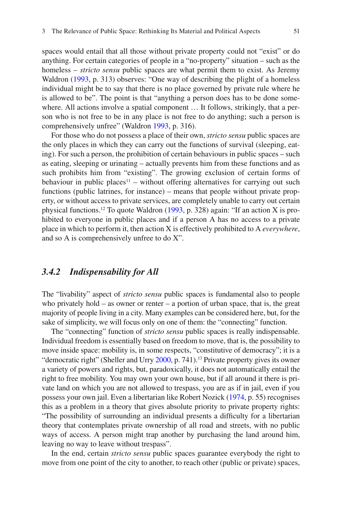<span id="page-6-0"></span>spaces would entail that all those without private property could not "exist" or do anything. For certain categories of people in a "no-property" situation – such as the homeless – *stricto sensu* public spaces are what permit them to exist. As Jeremy Waldron (1993, p. 313) observes: "One way of describing the plight of a homeless individual might be to say that there is no place governed by private rule where he is allowed to be". The point is that "anything a person does has to be done somewhere. All actions involve a spatial component ... It follows, strikingly, that a person who is not free to be in any place is not free to do anything; such a person is comprehensively unfree" (Waldron 1993, p. 316).

 For those who do not possess a place of their own, *stricto sensu* public spaces are the only places in which they can carry out the functions of survival (sleeping, eating). For such a person, the prohibition of certain behaviours in public spaces – such as eating, sleeping or urinating – actually prevents him from these functions and as such prohibits him from "existing". The growing exclusion of certain forms of behaviour in public places<sup> $11$ </sup> – without offering alternatives for carrying out such functions (public latrines, for instance) – means that people without private property, or without access to private services, are completely unable to carry out certain physical functions.<sup>12</sup> To quote Waldron (1993, p. 328) again: "If an action X is prohibited to everyone in public places and if a person A has no access to a private place in which to perform it, then action X is effectively prohibited to A *everywhere* , and so A is comprehensively unfree to do X".

#### *3.4.2 Indispensability for All*

 The "livability" aspect of *stricto sensu* public spaces is fundamental also to people who privately hold – as owner or renter – a portion of urban space, that is, the great majority of people living in a city. Many examples can be considered here, but, for the sake of simplicity, we will focus only on one of them: the "connecting" function.

 The "connecting" function of *stricto sensu* public spaces is really indispensable. Individual freedom is essentially based on freedom to move, that is, the possibility to move inside space: mobility is, in some respects, "constitutive of democracy"; it is a "democratic right" (Sheller and Urry 2000, p. 741).<sup>13</sup> Private property gives its owner a variety of powers and rights, but, paradoxically, it does not automatically entail the right to free mobility. You may own your own house, but if all around it there is private land on which you are not allowed to trespass, you are as if in jail, even if you possess your own jail. Even a libertarian like Robert Nozick [\( 1974](#page-10-0) , p. 55) recognises this as a problem in a theory that gives absolute priority to private property rights: "The possibility of surrounding an individual presents a difficulty for a libertarian theory that contemplates private ownership of all road and streets, with no public ways of access. A person might trap another by purchasing the land around him, leaving no way to leave without trespass".

 In the end, certain *stricto sensu* public spaces guarantee everybody the right to move from one point of the city to another, to reach other (public or private) spaces,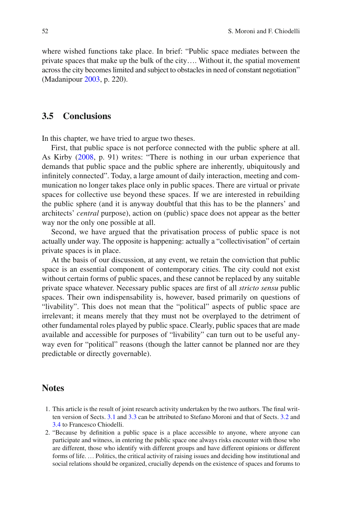where wished functions take place. In brief: "Public space mediates between the private spaces that make up the bulk of the city…. Without it, the spatial movement across the city becomes limited and subject to obstacles in need of constant negotiation" (Madanipour [2003 ,](#page-9-0) p. 220).

#### **3.5 Conclusions**

In this chapter, we have tried to argue two theses.

 First, that public space is not perforce connected with the public sphere at all. As Kirby (2008, p. 91) writes: "There is nothing in our urban experience that demands that public space and the public sphere are inherently, ubiquitously and infinitely connected". Today, a large amount of daily interaction, meeting and communication no longer takes place only in public spaces. There are virtual or private spaces for collective use beyond these spaces. If we are interested in rebuilding the public sphere (and it is anyway doubtful that this has to be the planners' and architects' *central* purpose), action on (public) space does not appear as the better way nor the only one possible at all.

 Second, we have argued that the privatisation process of public space is not actually under way. The opposite is happening: actually a "collectivisation" of certain private spaces is in place.

 At the basis of our discussion, at any event, we retain the conviction that public space is an essential component of contemporary cities. The city could not exist without certain forms of public spaces, and these cannot be replaced by any suitable private space whatever. Necessary public spaces are first of all *stricto sensu* public spaces. Their own indispensability is, however, based primarily on questions of "livability". This does not mean that the "political" aspects of public space are irrelevant; it means merely that they must not be overplayed to the detriment of other fundamental roles played by public space. Clearly, public spaces that are made available and accessible for purposes of "livability" can turn out to be useful anyway even for "political" reasons (though the latter cannot be planned nor are they predictable or directly governable).

#### **Notes**

- 1. This article is the result of joint research activity undertaken by the two authors. The final written version of Sects. [3.1](#page-0-0) and [3.3](#page-2-0) can be attributed to Stefano Moroni and that of Sects. [3.2](#page-1-0) and [3.4](#page-5-0) to Francesco Chiodelli.
- 2. "Because by definition a public space is a place accessible to anyone, where anyone can participate and witness, in entering the public space one always risks encounter with those who are different, those who identify with different groups and have different opinions or different forms of life. … Politics, the critical activity of raising issues and deciding how institutional and social relations should be organized, crucially depends on the existence of spaces and forums to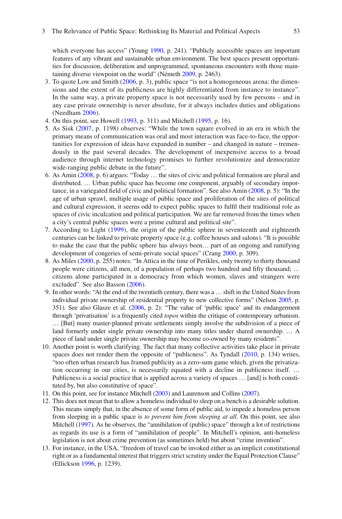which everyone has access" (Young [1990](#page-10-0), p. 241). "Publicly accessible spaces are important features of any vibrant and sustainable urban environment. The best spaces present opportunities for discussion, deliberation and unprogrammed, spontaneous encounters with those maintaining diverse viewpoint on the world" (Németh 2009, p. 2463).

- 3. To quote Low and Smith (2006, p. 3), public space "is not a homogeneous arena: the dimensions and the extent of its publicness are highly differentiated from instance to instance". In the same way, a private property space is not necessarily used by few persons – and in any case private ownership is never absolute, for it always includes duties and obligations (Needham 2006).
- 4. On this point, see Howell (1993, p. 311) and Mitchell (1995, p. 16).
- 5 . As Sisk ( [2007 ,](#page-10-0) p. 1198) observes: "While the town square evolved in an era in which the primary means of communication was oral and most interaction was face-to-face, the opportunities for expression of ideas have expanded in number – and changed in nature – tremendously in the past several decades. The development of inexpensive access to a broad audience through internet technology promises to further revolutionize and democratize wide-ranging public debate in the future".
- 6 . As Amin ( [2008 ,](#page-9-0) p. 6) argues: "Today … the sites of civic and political formation are plural and distributed. … Urban public space has become one component, arguably of secondary importance, in a variegated field of civic and political formation". See also Amin  $(2008, p. 5)$ : "In the age of urban sprawl, multiple usage of public space and proliferation of the sites of political and cultural expression, it seems odd to expect public spaces to fulfil their traditional role as spaces of civic inculcation and political participation. We are far removed from the times when a city's central public spaces were a prime cultural and political site".
- 7. According to Light (1999), the origin of the public sphere in seventeenth and eighteenth centuries can be linked to private property space (e.g. coffee houses and salons). "It is possible to make the case that the public sphere has always been… part of an ongoing and ramifying development of congeries of semi-private social spaces" (Crang [2000](#page-9-0), p. 309).
- 8. As Miles (2000, p. 255) notes: "In Attica in the time of Perikles, only twenty to thirty thousand people were citizens, all men, of a population of perhaps two hundred and fifty thousand; ... citizens alone participated in a democracy from which women, slaves and strangers were excluded". See also Basson (2006).
- 9 . In other words: "At the end of the twentieth century, there was a … shift in the United States from individual private ownership of residential property to new collective forms" (Nelson 2005, p. 351). See also Glasze et al. (2006, p. 2): "The value of 'public space' and its endangerment through 'privatisation' is a frequently cited *topos* within the critique of contemporary urbanism. … [But] many master-planned private settlements simply involve the subdivision of a piece of land formerly under single private ownership into many titles under shared ownership. … A piece of land under single private ownership may become co-owned by many residents".
- 10. Another point is worth clarifying. The fact that many collective activities take place in private spaces does not render them the opposite of "publicness". As Tyndall  $(2010, p. 134)$  writes, "too often urban research has framed publicity as a zero-sum game which, given the privatization occurring in our cities, is necessarily equated with a decline in publicness itself. … Publicness is a social practice that is applied across a variety of spaces … [and] is both constituted by, but also constitutive of space".
- 11. On this point, see for instance Mitchell (2003) and Laurenson and Collins (2007).
- 12. This does not mean that to allow a homeless individual to sleep on a bench is a desirable solution. This means simply that, in the absence of some form of public aid, to impede a homeless person from sleeping in a public space is *to prevent him from sleeping at all* . On this point, see also Mitchell (1997). As he observes, the "annihilation of (public) space" through a lot of restrictions as regards its use is a form of "annihilation of people". In Mitchell's opinion, anti-homeless legislation is not about crime prevention (as sometimes held) but about "crime invention".
- 13 . For instance, in the USA, "freedom of travel can be invoked either as an implicit constitutional right or as a fundamental interest that triggers strict scrutiny under the Equal Protection Clause" (Ellickson 1996, p. 1239).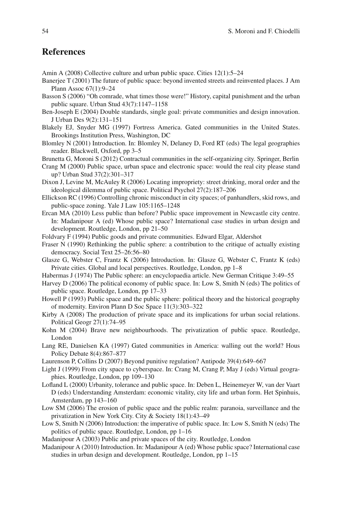#### <span id="page-9-0"></span> **References**

- Amin A (2008) Collective culture and urban public space. Cities 12(1):5–24
- Banerjee T (2001) The future of public space: beyond invented streets and reinvented places. J Am Plann Assoc 67(1):9–24
- Basson S (2006) "Oh comrade, what times those were!" History, capital punishment and the urban public square. Urban Stud 43(7):1147–1158
- Ben-Joseph E (2004) Double standards, single goal: private communities and design innovation. J Urban Des 9(2):131–151
- Blakely EJ, Snyder MG (1997) Fortress America. Gated communities in the United States. Brookings Institution Press, Washington, DC
- Blomley N (2001) Introduction. In: Blomley N, Delaney D, Ford RT (eds) The legal geographies reader. Blackwell, Oxford, pp 3–5
- Brunetta G, Moroni S (2012) Contractual communities in the self-organizing city. Springer, Berlin
- Crang M (2000) Public space, urban space and electronic space: would the real city please stand up? Urban Stud 37(2):301–317
- Dixon J, Levine M, McAuley R (2006) Locating impropriety: street drinking, moral order and the ideological dilemma of public space. Political Psychol 27(2):187–206
- Ellickson RC (1996) Controlling chronic misconduct in city spaces; of panhandlers, skid rows, and public-space zoning. Yale J Law 105:1165–1248
- Ercan MA (2010) Less public than before? Public space improvement in Newcastle city centre. In: Madanipour A (ed) Whose public space? International case studies in urban design and development. Routledge, London, pp 21–50
- Foldvary F (1994) Public goods and private communities. Edward Elgar, Aldershot
- Fraser N (1990) Rethinking the public sphere: a contribution to the critique of actually existing democracy. Social Text 25–26:56–80
- Glasze G, Webster C, Frantz K (2006) Introduction. In: Glasze G, Webster C, Frantz K (eds) Private cities. Global and local perspectives. Routledge, London, pp 1–8
- Habermas J (1974) The Public sphere: an encyclopaedia article. New German Critique 3:49–55
- Harvey D (2006) The political economy of public space. In: Low S, Smith N (eds) The politics of public space. Routledge, London, pp 17–33
- Howell P (1993) Public space and the public sphere: political theory and the historical geography of modernity. Environ Plann D Soc Space 11(3):303–322
- Kirby A (2008) The production of private space and its implications for urban social relations. Political Geogr 27(1):74–95
- Kohn M (2004) Brave new neighbourhoods. The privatization of public space. Routledge, London
- Lang RE, Danielsen KA (1997) Gated communities in America: walling out the world? Hous Policy Debate 8(4):867–877
- Laurenson P, Collins D (2007) Beyond punitive regulation? Antipode 39(4):649–667
- Light J (1999) From city space to cyberspace. In: Crang M, Crang P, May J (eds) Virtual geographies. Routledge, London, pp 109–130
- Lofland L (2000) Urbanity, tolerance and public space. In: Deben L, Heinemeyer W, van der Vaart D (eds) Understanding Amsterdam: economic vitality, city life and urban form. Het Spinhuis, Amsterdam, pp 143–160
- Low SM (2006) The erosion of public space and the public realm: paranoia, surveillance and the privatization in New York City. City & Society 18(1):43–49
- Low S, Smith N (2006) Introduction: the imperative of public space. In: Low S, Smith N (eds) The politics of public space. Routledge, London, pp 1–16
- Madanipour A (2003) Public and private spaces of the city. Routledge, London
- Madanipour A (2010) Introduction. In: Madanipour A (ed) Whose public space? International case studies in urban design and development. Routledge, London, pp 1–15